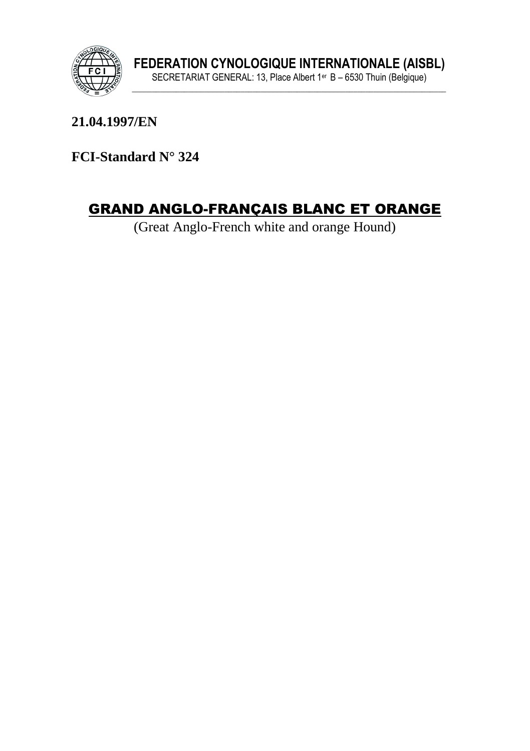

21.04.1997/EN

FCI-Standard N° 324

# **GRAND ANGLO-FRANÇAIS BLANC ET ORANGE**

(Great Anglo-French white and orange Hound)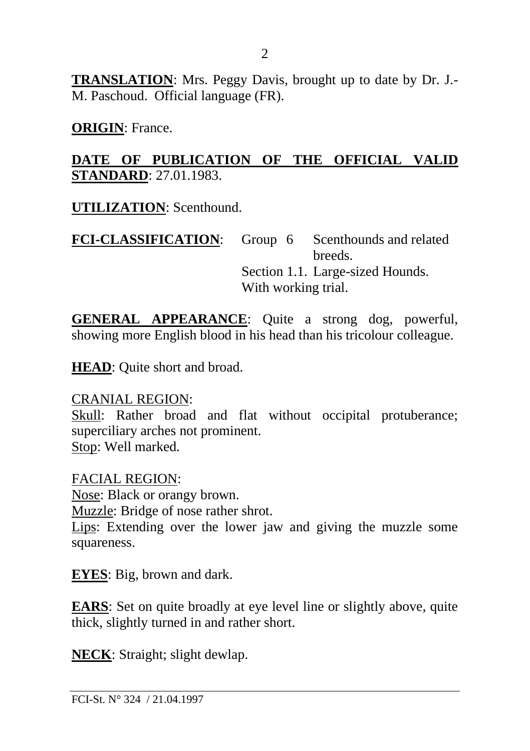**TRANSLATION**: Mrs. Peggy Davis, brought up to date by Dr. J.- M. Paschoud. Official language (FR).

**ORIGIN**: France.

#### **DATE OF PUBLICATION OF THE OFFICIAL VALID STANDARD**: 27.01.1983.

**UTILIZATION**: Scenthound.

FCI-CLASSIFICATION: Group 6 Scenthounds and related breeds. Section 1.1. Large-sized Hounds. With working trial.

**GENERAL APPEARANCE**: Quite a strong dog, powerful, showing more English blood in his head than his tricolour colleague.

**HEAD**: Quite short and broad.

CRANIAL REGION:

Skull: Rather broad and flat without occipital protuberance; superciliary arches not prominent. Stop: Well marked.

FACIAL REGION: Nose: Black or orangy brown. Muzzle: Bridge of nose rather shrot. Lips: Extending over the lower jaw and giving the muzzle some squareness.

**EYES**: Big, brown and dark.

**EARS**: Set on quite broadly at eye level line or slightly above, quite thick, slightly turned in and rather short.

**NECK**: Straight; slight dewlap.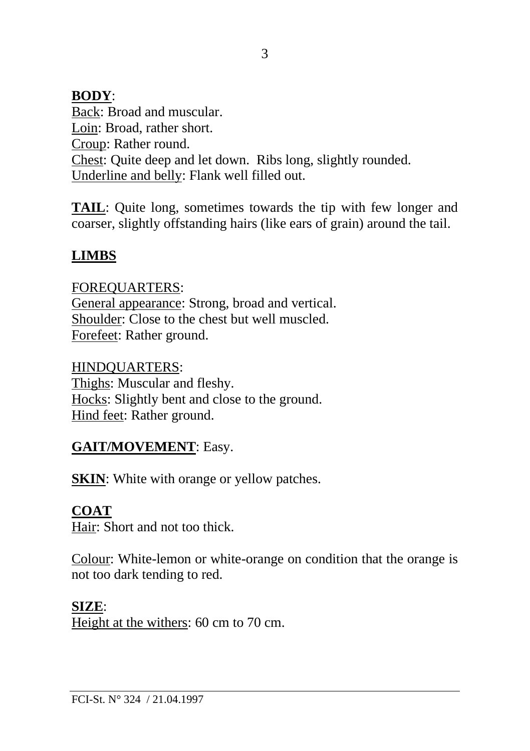#### **BODY**:

Back: Broad and muscular. Loin: Broad, rather short. Croup: Rather round. Chest: Quite deep and let down. Ribs long, slightly rounded. Underline and belly: Flank well filled out.

**TAIL**: Quite long, sometimes towards the tip with few longer and coarser, slightly offstanding hairs (like ears of grain) around the tail.

### **LIMBS**

FOREQUARTERS: General appearance: Strong, broad and vertical. Shoulder: Close to the chest but well muscled. Forefeet: Rather ground.

HINDQUARTERS: Thighs: Muscular and fleshy. Hocks: Slightly bent and close to the ground. Hind feet: Rather ground.

#### **GAIT/MOVEMENT**: Easy.

**SKIN:** White with orange or yellow patches.

#### **COAT**

Hair: Short and not too thick.

Colour: White-lemon or white-orange on condition that the orange is not too dark tending to red.

#### **SIZE**:

Height at the withers: 60 cm to 70 cm.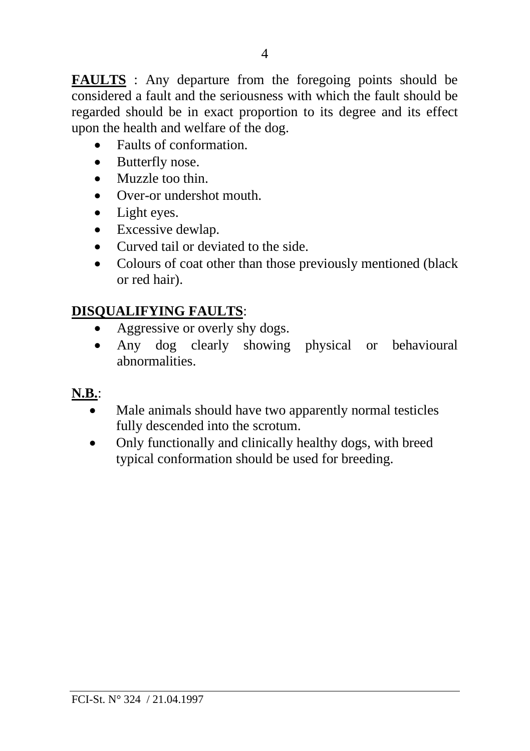**FAULTS** : Any departure from the foregoing points should be considered a fault and the seriousness with which the fault should be regarded should be in exact proportion to its degree and its effect upon the health and welfare of the dog.

- Faults of conformation.
- Butterfly nose.
- Muzzle too thin.
- Over-or undershot mouth.
- Light eyes.
- Excessive dewlap.
- Curved tail or deviated to the side.
- Colours of coat other than those previously mentioned (black or red hair).

## **DISQUALIFYING FAULTS**:

- Aggressive or overly shy dogs.
- Any dog clearly showing physical or behavioural abnormalities.

## **N.B.**:

- Male animals should have two apparently normal testicles fully descended into the scrotum.
- Only functionally and clinically healthy dogs, with breed typical conformation should be used for breeding.